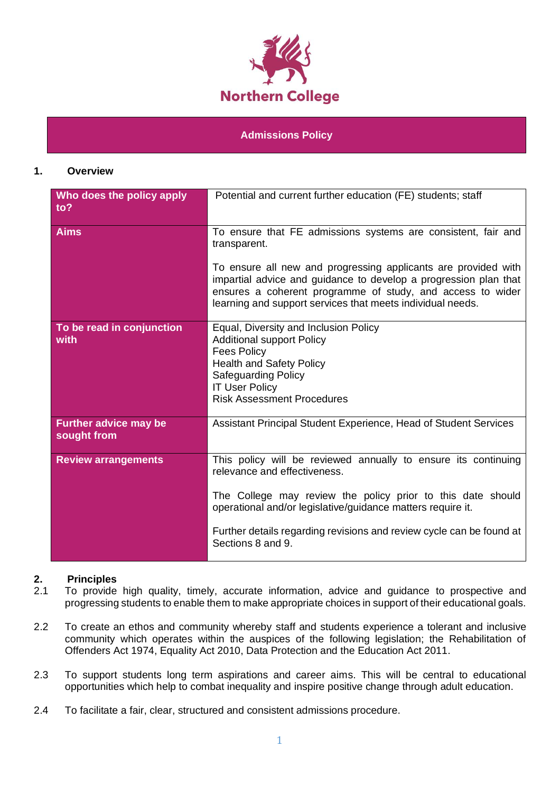

#### **Admissions Policy**

#### **1. Overview**

| Who does the policy apply<br>to?            | Potential and current further education (FE) students; staff                                                                                                                                                                                                                                                              |  |
|---------------------------------------------|---------------------------------------------------------------------------------------------------------------------------------------------------------------------------------------------------------------------------------------------------------------------------------------------------------------------------|--|
| <b>Aims</b>                                 | To ensure that FE admissions systems are consistent, fair and<br>transparent.                                                                                                                                                                                                                                             |  |
|                                             | To ensure all new and progressing applicants are provided with<br>impartial advice and guidance to develop a progression plan that<br>ensures a coherent programme of study, and access to wider<br>learning and support services that meets individual needs.                                                            |  |
| To be read in conjunction<br>with           | Equal, Diversity and Inclusion Policy<br><b>Additional support Policy</b><br><b>Fees Policy</b><br><b>Health and Safety Policy</b><br><b>Safeguarding Policy</b><br><b>IT User Policy</b><br><b>Risk Assessment Procedures</b>                                                                                            |  |
| <b>Further advice may be</b><br>sought from | Assistant Principal Student Experience, Head of Student Services                                                                                                                                                                                                                                                          |  |
| <b>Review arrangements</b>                  | This policy will be reviewed annually to ensure its continuing<br>relevance and effectiveness.<br>The College may review the policy prior to this date should<br>operational and/or legislative/guidance matters require it.<br>Further details regarding revisions and review cycle can be found at<br>Sections 8 and 9. |  |

#### **2. Principles**

- 2.1 To provide high quality, timely, accurate information, advice and guidance to prospective and progressing students to enable them to make appropriate choices in support of their educational goals.
- 2.2 To create an ethos and community whereby staff and students experience a tolerant and inclusive community which operates within the auspices of the following legislation; the Rehabilitation of Offenders Act 1974, Equality Act 2010, Data Protection and the Education Act 2011.
- 2.3 To support students long term aspirations and career aims. This will be central to educational opportunities which help to combat inequality and inspire positive change through adult education.
- 2.4 To facilitate a fair, clear, structured and consistent admissions procedure.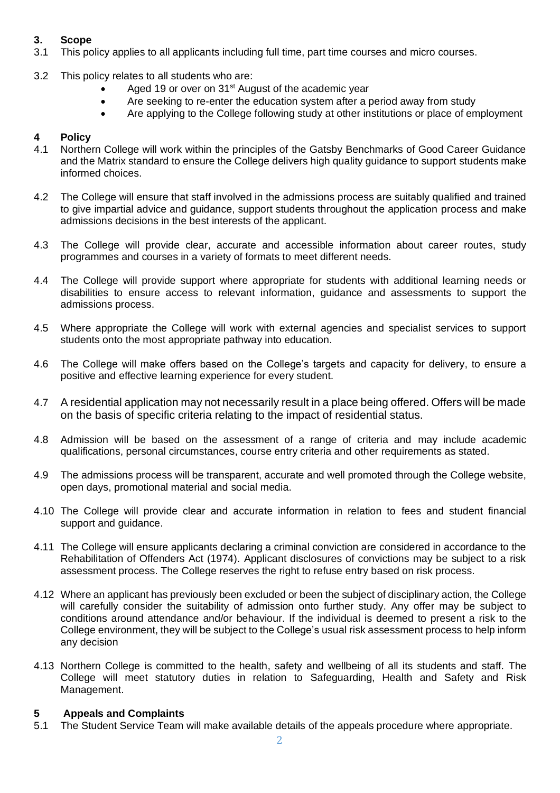## **3. Scope**

- 3.1 This policy applies to all applicants including full time, part time courses and micro courses.
- 3.2 This policy relates to all students who are:
	- Aged 19 or over on 31<sup>st</sup> August of the academic year
	- Are seeking to re-enter the education system after a period away from study
	- Are applying to the College following study at other institutions or place of employment

## **4 Policy**

- 4.1 Northern College will work within the principles of the Gatsby Benchmarks of Good Career Guidance and the Matrix standard to ensure the College delivers high quality guidance to support students make informed choices.
- 4.2 The College will ensure that staff involved in the admissions process are suitably qualified and trained to give impartial advice and guidance, support students throughout the application process and make admissions decisions in the best interests of the applicant.
- 4.3 The College will provide clear, accurate and accessible information about career routes, study programmes and courses in a variety of formats to meet different needs.
- 4.4 The College will provide support where appropriate for students with additional learning needs or disabilities to ensure access to relevant information, guidance and assessments to support the admissions process.
- 4.5 Where appropriate the College will work with external agencies and specialist services to support students onto the most appropriate pathway into education.
- 4.6 The College will make offers based on the College's targets and capacity for delivery, to ensure a positive and effective learning experience for every student.
- 4.7 A residential application may not necessarily result in a place being offered. Offers will be made on the basis of specific criteria relating to the impact of residential status.
- 4.8 Admission will be based on the assessment of a range of criteria and may include academic qualifications, personal circumstances, course entry criteria and other requirements as stated.
- 4.9 The admissions process will be transparent, accurate and well promoted through the College website, open days, promotional material and social media.
- 4.10 The College will provide clear and accurate information in relation to fees and student financial support and guidance.
- 4.11 The College will ensure applicants declaring a criminal conviction are considered in accordance to the Rehabilitation of Offenders Act (1974). Applicant disclosures of convictions may be subject to a risk assessment process. The College reserves the right to refuse entry based on risk process.
- 4.12 Where an applicant has previously been excluded or been the subject of disciplinary action, the College will carefully consider the suitability of admission onto further study. Any offer may be subject to conditions around attendance and/or behaviour. If the individual is deemed to present a risk to the College environment, they will be subject to the College's usual risk assessment process to help inform any decision
- 4.13 Northern College is committed to the health, safety and wellbeing of all its students and staff. The College will meet statutory duties in relation to Safeguarding, Health and Safety and Risk Management.

#### **5 Appeals and Complaints**

5.1 The Student Service Team will make available details of the appeals procedure where appropriate.